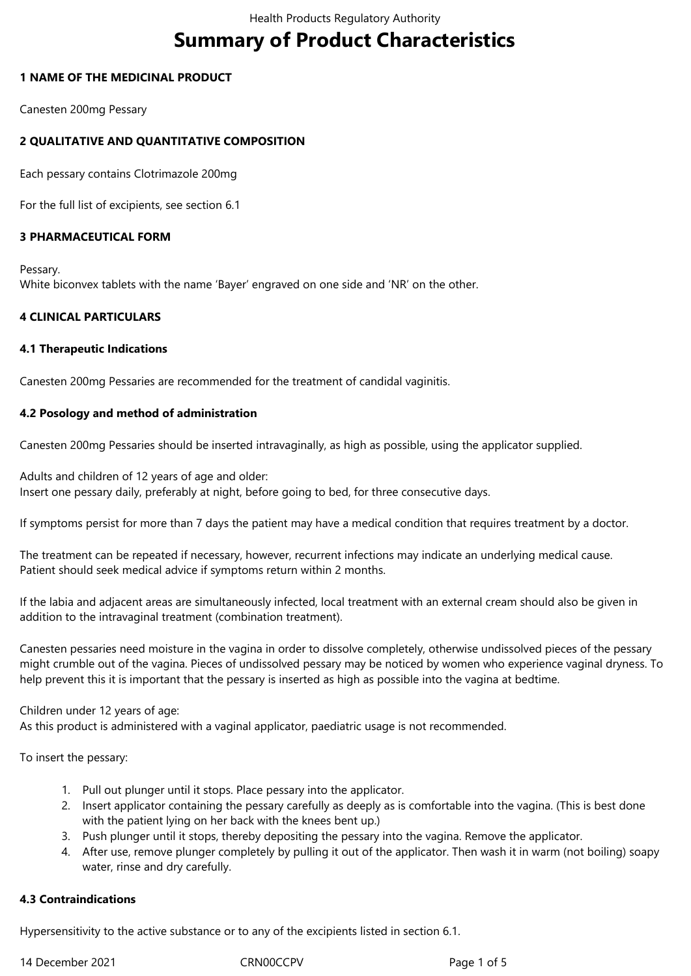# **Summary of Product Characteristics**

## **1 NAME OF THE MEDICINAL PRODUCT**

Canesten 200mg Pessary

# **2 QUALITATIVE AND QUANTITATIVE COMPOSITION**

Each pessary contains Clotrimazole 200mg

For the full list of excipients, see section 6.1

# **3 PHARMACEUTICAL FORM**

Pessary. White biconvex tablets with the name 'Bayer' engraved on one side and 'NR' on the other.

## **4 CLINICAL PARTICULARS**

## **4.1 Therapeutic Indications**

Canesten 200mg Pessaries are recommended for the treatment of candidal vaginitis.

## **4.2 Posology and method of administration**

Canesten 200mg Pessaries should be inserted intravaginally, as high as possible, using the applicator supplied.

Adults and children of 12 years of age and older: Insert one pessary daily, preferably at night, before going to bed, for three consecutive days.

If symptoms persist for more than 7 days the patient may have a medical condition that requires treatment by a doctor.

The treatment can be repeated if necessary, however, recurrent infections may indicate an underlying medical cause. Patient should seek medical advice if symptoms return within 2 months.

If the labia and adjacent areas are simultaneously infected, local treatment with an external cream should also be given in addition to the intravaginal treatment (combination treatment).

Canesten pessaries need moisture in the vagina in order to dissolve completely, otherwise undissolved pieces of the pessary might crumble out of the vagina. Pieces of undissolved pessary may be noticed by women who experience vaginal dryness. To help prevent this it is important that the pessary is inserted as high as possible into the vagina at bedtime.

## Children under 12 years of age:

As this product is administered with a vaginal applicator, paediatric usage is not recommended.

To insert the pessary:

- 1. Pull out plunger until it stops. Place pessary into the applicator.
- 2. Insert applicator containing the pessary carefully as deeply as is comfortable into the vagina. (This is best done with the patient lying on her back with the knees bent up.)
- 3. Push plunger until it stops, thereby depositing the pessary into the vagina. Remove the applicator.
- 4. After use, remove plunger completely by pulling it out of the applicator. Then wash it in warm (not boiling) soapy water, rinse and dry carefully.

# **4.3 Contraindications**

Hypersensitivity to the active substance or to any of the excipients listed in section 6.1.

14 December 2021 CRN00CCPV Page 1 of 5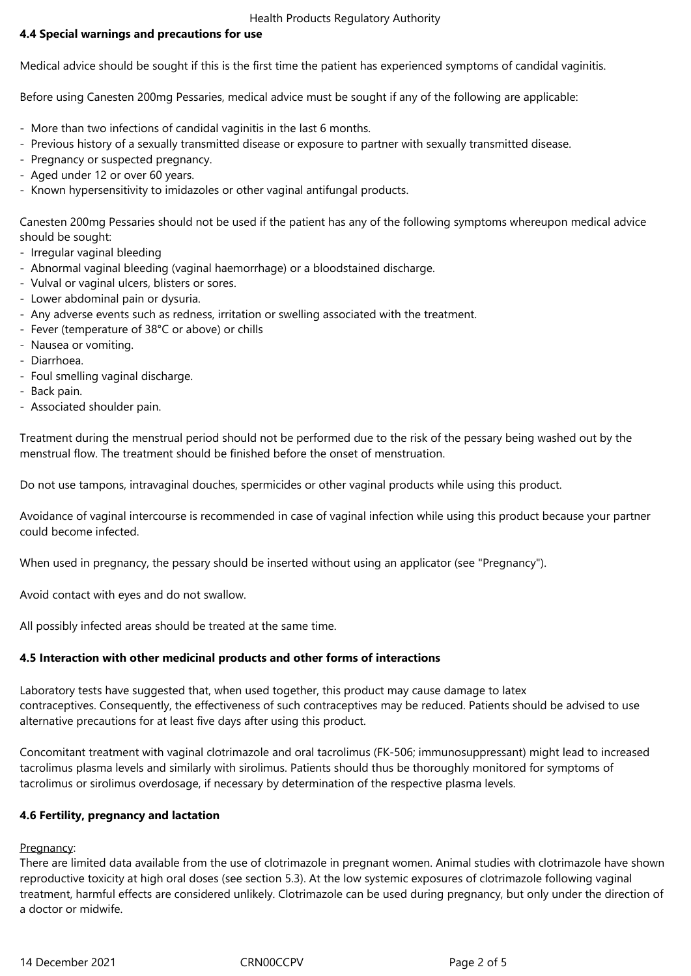#### Health Products Regulatory Authority

# **4.4 Special warnings and precautions for use**

Medical advice should be sought if this is the first time the patient has experienced symptoms of candidal vaginitis.

Before using Canesten 200mg Pessaries, medical advice must be sought if any of the following are applicable:

- More than two infections of candidal vaginitis in the last 6 months.
- Previous history of a sexually transmitted disease or exposure to partner with sexually transmitted disease.
- Pregnancy or suspected pregnancy.
- Aged under 12 or over 60 years.
- Known hypersensitivity to imidazoles or other vaginal antifungal products.

Canesten 200mg Pessaries should not be used if the patient has any of the following symptoms whereupon medical advice should be sought:

- Irregular vaginal bleeding
- Abnormal vaginal bleeding (vaginal haemorrhage) or a bloodstained discharge.
- Vulval or vaginal ulcers, blisters or sores.
- Lower abdominal pain or dysuria.
- Any adverse events such as redness, irritation or swelling associated with the treatment.
- Fever (temperature of 38°C or above) or chills
- Nausea or vomiting.
- Diarrhoea.
- Foul smelling vaginal discharge.
- Back pain.
- Associated shoulder pain.

Treatment during the menstrual period should not be performed due to the risk of the pessary being washed out by the menstrual flow. The treatment should be finished before the onset of menstruation.

Do not use tampons, intravaginal douches, spermicides or other vaginal products while using this product.

Avoidance of vaginal intercourse is recommended in case of vaginal infection while using this product because your partner could become infected.

When used in pregnancy, the pessary should be inserted without using an applicator (see "Pregnancy").

Avoid contact with eyes and do not swallow.

All possibly infected areas should be treated at the same time.

## **4.5 Interaction with other medicinal products and other forms of interactions**

Laboratory tests have suggested that, when used together, this product may cause damage to latex contraceptives. Consequently, the effectiveness of such contraceptives may be reduced. Patients should be advised to use alternative precautions for at least five days after using this product.

Concomitant treatment with vaginal clotrimazole and oral tacrolimus (FK-506; immunosuppressant) might lead to increased tacrolimus plasma levels and similarly with sirolimus. Patients should thus be thoroughly monitored for symptoms of tacrolimus or sirolimus overdosage, if necessary by determination of the respective plasma levels.

## **4.6 Fertility, pregnancy and lactation**

Pregnancy:

There are limited data available from the use of clotrimazole in pregnant women. Animal studies with clotrimazole have shown reproductive toxicity at high oral doses (see section 5.3). At the low systemic exposures of clotrimazole following vaginal treatment, harmful effects are considered unlikely. Clotrimazole can be used during pregnancy, but only under the direction of a doctor or midwife.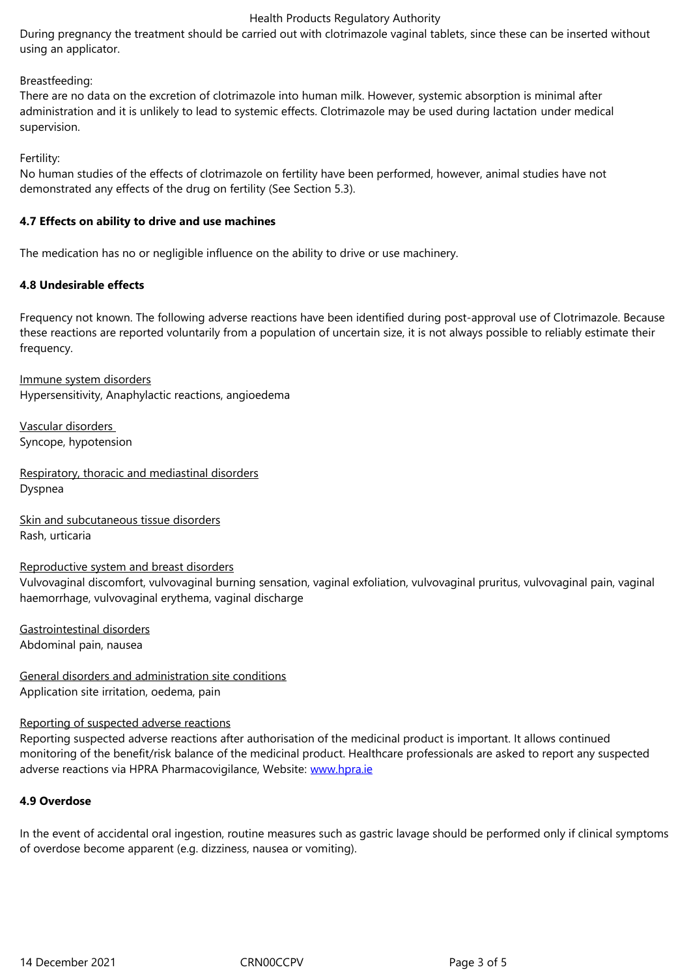## Breastfeeding:

There are no data on the excretion of clotrimazole into human milk. However, systemic absorption is minimal after administration and it is unlikely to lead to systemic effects. Clotrimazole may be used during lactation under medical supervision.

Fertility:

No human studies of the effects of clotrimazole on fertility have been performed, however, animal studies have not demonstrated any effects of the drug on fertility (See Section 5.3).

## **4.7 Effects on ability to drive and use machines**

The medication has no or negligible influence on the ability to drive or use machinery.

## **4.8 Undesirable effects**

Frequency not known. The following adverse reactions have been identified during post-approval use of Clotrimazole. Because these reactions are reported voluntarily from a population of uncertain size, it is not always possible to reliably estimate their frequency.

Immune system disorders Hypersensitivity, Anaphylactic reactions, angioedema

Vascular disorders Syncope, hypotension

Respiratory, thoracic and mediastinal disorders Dyspnea

Skin and subcutaneous tissue disorders Rash, urticaria

## Reproductive system and breast disorders

Vulvovaginal discomfort, vulvovaginal burning sensation, vaginal exfoliation, vulvovaginal pruritus, vulvovaginal pain, vaginal haemorrhage, vulvovaginal erythema, vaginal discharge

Gastrointestinal disorders Abdominal pain, nausea

General disorders and administration site conditions Application site irritation, oedema, pain

## Reporting of suspected adverse reactions

Reporting suspected adverse reactions after authorisation of the medicinal product is important. It allows continued monitoring of the benefit/risk balance of the medicinal product. Healthcare professionals are asked to report any suspected adverse reactions via HPRA Pharmacovigilance, Website: www.hpra.ie

## **4.9 Overdose**

In the event of accidental oral ingestion, routine measure[s such as gas](http://www.hpra.ie/)tric lavage should be performed only if clinical symptoms of overdose become apparent (e.g. dizziness, nausea or vomiting).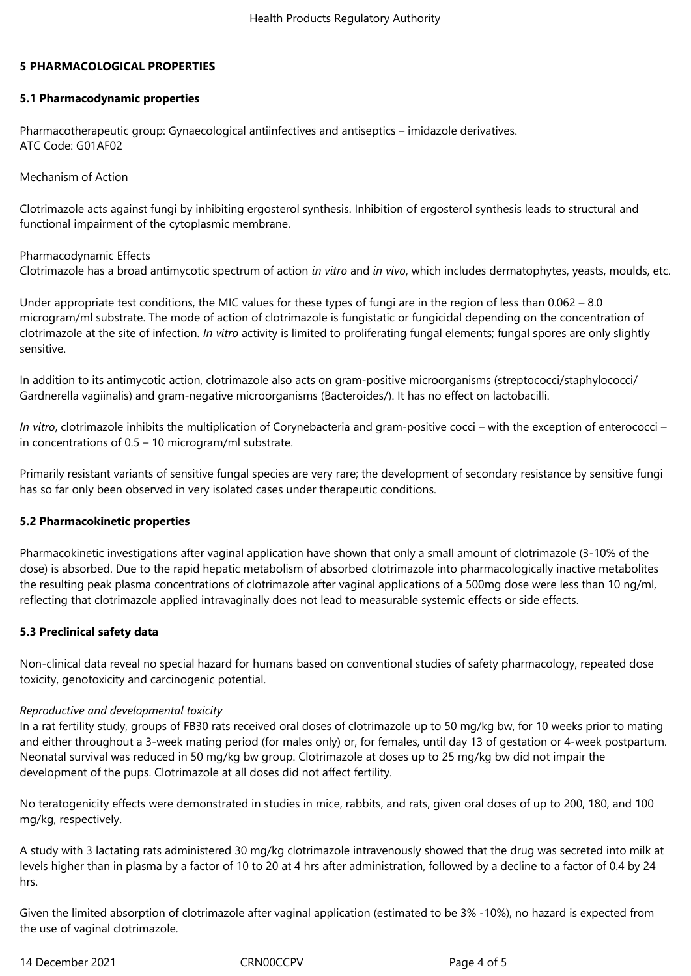## **5 PHARMACOLOGICAL PROPERTIES**

## **5.1 Pharmacodynamic properties**

Pharmacotherapeutic group: Gynaecological antiinfectives and antiseptics – imidazole derivatives. ATC Code: G01AF02

Mechanism of Action

Clotrimazole acts against fungi by inhibiting ergosterol synthesis. Inhibition of ergosterol synthesis leads to structural and functional impairment of the cytoplasmic membrane.

## Pharmacodynamic Effects Clotrimazole has a broad antimycotic spectrum of action *in vitro* and *in vivo*, which includes dermatophytes, yeasts, moulds, etc.

Under appropriate test conditions, the MIC values for these types of fungi are in the region of less than 0.062 – 8.0 microgram/ml substrate. The mode of action of clotrimazole is fungistatic or fungicidal depending on the concentration of clotrimazole at the site of infection. *In vitro* activity is limited to proliferating fungal elements; fungal spores are only slightly sensitive.

In addition to its antimycotic action, clotrimazole also acts on gram-positive microorganisms (streptococci/staphylococci/ Gardnerella vagiinalis) and gram-negative microorganisms (Bacteroides/). It has no effect on lactobacilli.

*In vitro*, clotrimazole inhibits the multiplication of Corynebacteria and gram-positive cocci – with the exception of enterococci – in concentrations of 0.5 – 10 microgram/ml substrate.

Primarily resistant variants of sensitive fungal species are very rare; the development of secondary resistance by sensitive fungi has so far only been observed in very isolated cases under therapeutic conditions.

## **5.2 Pharmacokinetic properties**

Pharmacokinetic investigations after vaginal application have shown that only a small amount of clotrimazole (3-10% of the dose) is absorbed. Due to the rapid hepatic metabolism of absorbed clotrimazole into pharmacologically inactive metabolites the resulting peak plasma concentrations of clotrimazole after vaginal applications of a 500mg dose were less than 10 ng/ml, reflecting that clotrimazole applied intravaginally does not lead to measurable systemic effects or side effects.

## **5.3 Preclinical safety data**

Non-clinical data reveal no special hazard for humans based on conventional studies of safety pharmacology, repeated dose toxicity, genotoxicity and carcinogenic potential.

## *Reproductive and developmental toxicity*

In a rat fertility study, groups of FB30 rats received oral doses of clotrimazole up to 50 mg/kg bw, for 10 weeks prior to mating and either throughout a 3-week mating period (for males only) or, for females, until day 13 of gestation or 4-week postpartum. Neonatal survival was reduced in 50 mg/kg bw group. Clotrimazole at doses up to 25 mg/kg bw did not impair the development of the pups. Clotrimazole at all doses did not affect fertility.

No teratogenicity effects were demonstrated in studies in mice, rabbits, and rats, given oral doses of up to 200, 180, and 100 mg/kg, respectively.

A study with 3 lactating rats administered 30 mg/kg clotrimazole intravenously showed that the drug was secreted into milk at levels higher than in plasma by a factor of 10 to 20 at 4 hrs after administration, followed by a decline to a factor of 0.4 by 24 hrs.

Given the limited absorption of clotrimazole after vaginal application (estimated to be 3% -10%), no hazard is expected from the use of vaginal clotrimazole.

14 December 2021 CRN00CCPV Page 4 of 5